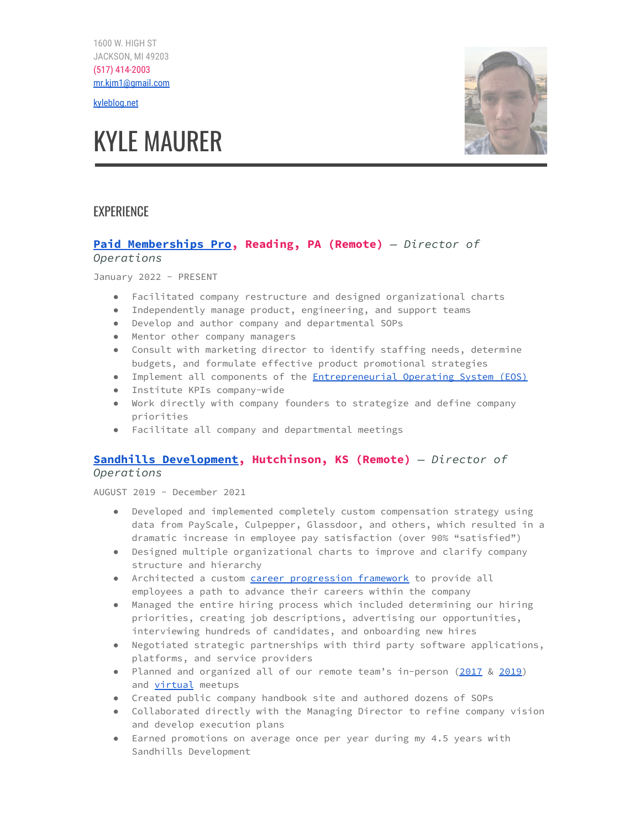1600 W. HIGH ST JACKSON, MI 49203 (517) 414-2003 [mr.kjm1@gmail.com](mailto:mr.kjm1@gmail.com)

[kyleblog.net](https://kyleblog.net)

# KYLE MAURER



# **EXPERIENCE**

# **Paid [Memberships](https://www.paidmembershipspro.com/) Pro, Reading, PA (Remote)** *— Director of Operations*

January 2022 - PRESENT

- Facilitated company restructure and designed organizational charts
- Independently manage product, engineering, and support teams
- Develop and author company and departmental SOPs
- Mentor other company managers
- Consult with marketing director to identify staffing needs, determine budgets, and formulate effective product promotional strategies
- Implement all components of the **[Entrepreneurial](https://www.eosworldwide.com/) Operating System (EOS)**
- Institute KPIs company-wide
- Work directly with company founders to strategize and define company priorities
- Facilitate all company and departmental meetings

# **Sandhills [Development,](https://sandhillsdev.com/) Hutchinson, KS (Remote)** *— Director of Operations*

AUGUST 2019 - December 2021

- Developed and implemented completely custom compensation strategy using data from PayScale, Culpepper, Glassdoor, and others, which resulted in a dramatic increase in employee pay satisfaction (over 90% "satisfied")
- Designed multiple organizational charts to improve and clarify company structure and hierarchy
- Architected a custom *career [progression](http://kyleblog.net/2021/09/the-sandhills-development-career-progression-framework/) framework* to provide all employees a path to advance their careers within the company
- Managed the entire hiring process which included determining our hiring priorities, creating job descriptions, advertising our opportunities, interviewing hundreds of candidates, and onboarding new hires
- Negotiated strategic partnerships with third party software applications, platforms, and service providers
- Planned and organized all of our remote team's in-person [\(2017](http://kyleblog.net/2017/12/recap-and-lessons-learned-from-sandhills-development-team-meetup-2017/) & [2019\)](https://sandhillsdev.com/2019/10/sandhills-summit-2019-recap/) and [virtual](http://kyleblog.net/2021/01/how-i-used-riddles-to-create-a-fun-activity-for-a-virtual-team-retreat/) meetups
- Created public company handbook site and authored dozens of SOPs
- Collaborated directly with the Managing Director to refine company vision and develop execution plans
- Earned promotions on average once per year during my 4.5 years with Sandhills Development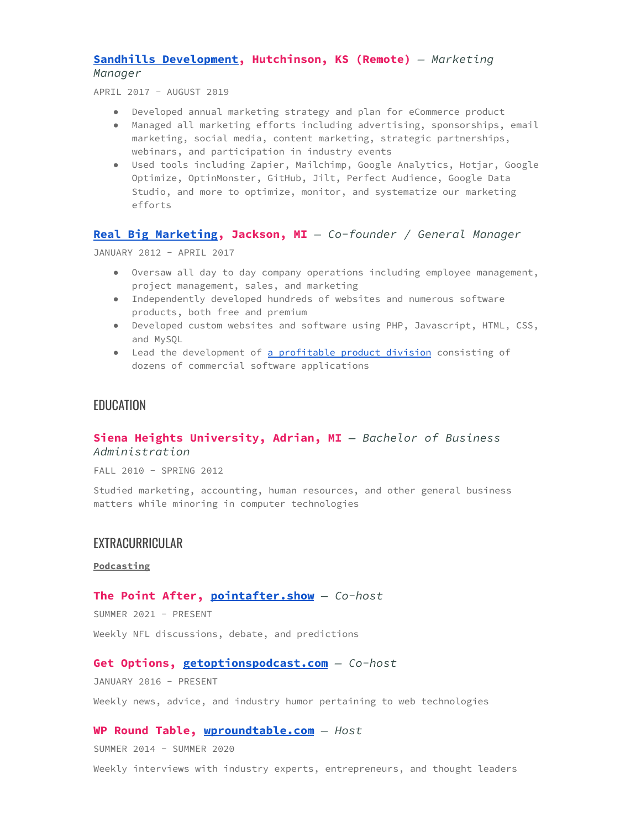## **Sandhills [Development,](https://sandhillsdev.com/) Hutchinson, KS (Remote)** *— Marketing Manager*

APRIL 2017 - AUGUST 2019

- Developed annual marketing strategy and plan for eCommerce product
- Managed all marketing efforts including advertising, sponsorships, email marketing, social media, content marketing, strategic partnerships, webinars, and participation in industry events
- Used tools including Zapier, Mailchimp, Google Analytics, Hotjar, Google Optimize, OptinMonster, GitHub, Jilt, Perfect Audience, Google Data Studio, and more to optimize, monitor, and systematize our marketing efforts

## **Real Big [Marketing,](https://realbigmarketing.com/) Jackson, MI** *— Co-founder / General Manager*

JANUARY 2012 - APRIL 2017

- Oversaw all day to day company operations including employee management, project management, sales, and marketing
- Independently developed hundreds of websites and numerous software products, both free and premium
- Developed custom websites and software using PHP, Javascript, HTML, CSS, and MySQL
- Lead the development of a [profitable](https://realbigplugins.com/) product division consisting of dozens of commercial software applications

# EDUCATION

## **Siena Heights University, Adrian, MI** *— Bachelor of Business Administration*

FALL 2010 - SPRING 2012

Studied marketing, accounting, human resources, and other general business matters while minoring in computer technologies

# **EXTRACURRICULAR**

#### **Podcasting**

#### **The Point After, [pointafter.show](https://pointafter.show)** *— Co-host*

SUMMER 2021 - PRESENT

Weekly NFL discussions, debate, and predictions

## **Get Options, [getoptionspodcast.com](https://getoptionspodcast.com)** *— Co-host*

JANUARY 2016 - PRESENT

Weekly news, advice, and industry humor pertaining to web technologies

## **WP Round Table, [wproundtable.com](http://wproundtable.com)** *— Host*

SUMMER 2014 - SUMMER 2020

Weekly interviews with industry experts, entrepreneurs, and thought leaders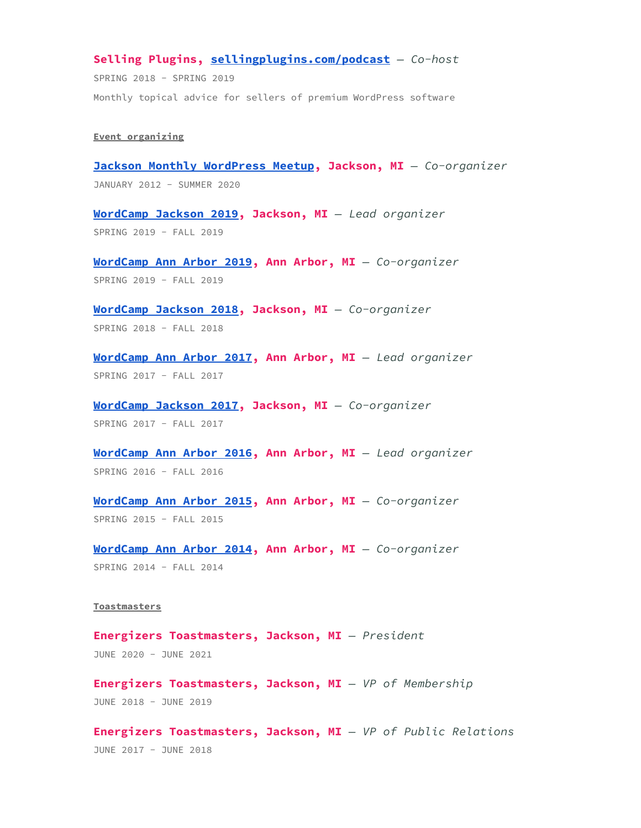## **Selling Plugins, [sellingplugins.com/podcast](https://sellingplugins.com/podcast)** *— Co-host*

SPRING 2018 - SPRING 2019 Monthly topical advice for sellers of premium WordPress software

#### **Event organizing**

**Jackson Monthly [WordPress](https://www.meetup.com/JXNWP-meetup/) Meetup, Jackson, MI** *— Co-organizer* JANUARY 2012 - SUMMER 2020

**[WordCamp](https://jackson.wordcamp.org/2019/) Jackson 2019, Jackson, MI** *— Lead organizer* SPRING 2019 - FALL 2019

**[WordCamp](https://annarbor.wordcamp.org/2019/) Ann Arbor 2019, Ann Arbor, MI** *— Co-organizer* SPRING 2019 - FALL 2019

**[WordCamp](https://jackson.wordcamp.org/2018/) Jackson 2018, Jackson, MI** *— Co-organizer* SPRING 2018 - FALL 2018

**[WordCamp](https://annarbor.wordcamp.org/2017/) Ann Arbor 2017, Ann Arbor, MI** *— Lead organizer* SPRING 2017 - FALL 2017

**[WordCamp](https://jackson.wordcamp.org/2017/) Jackson 2017, Jackson, MI** *— Co-organizer* SPRING 2017 - FALL 2017

**[WordCamp](https://annarbor.wordcamp.org/2016/) Ann Arbor 2016, Ann Arbor, MI** *— Lead organizer* SPRING 2016 - FALL 2016

**[WordCamp](https://annarbor.wordcamp.org/2015/) Ann Arbor 2015, Ann Arbor, MI** *— Co-organizer* SPRING 2015 - FALL 2015

**[WordCamp](https://annarbor.wordcamp.org/2014/) Ann Arbor 2014, Ann Arbor, MI** *— Co-organizer* SPRING 2014 - FALL 2014

#### **Toastmasters**

**Energizers Toastmasters, Jackson, MI** *— President* JUNE 2020 - JUNE 2021

**Energizers Toastmasters, Jackson, MI** *— VP of Membership* JUNE 2018 - JUNE 2019

**Energizers Toastmasters, Jackson, MI** *— VP of Public Relations* JUNE 2017 - JUNE 2018